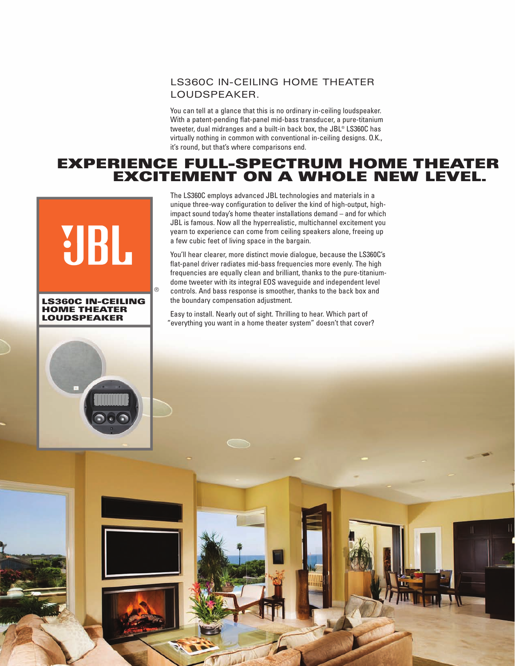## LS360C IN-CEILING HOME THEATER LOUDSPEAKER.

You can tell at a glance that this is no ordinary in-ceiling loudspeaker. With a patent-pending flat-panel mid-bass transducer, a pure-titanium tweeter, dual midranges and a built-in back box, the JBL® LS360C has virtually nothing in common with conventional in-ceiling designs. O.K., it's round, but that's where comparisons end.

# **EXPERIENCE FULL-SPECTRUM HOME THEATER EXCITEMENT ON A WHOLE NEW LEVEL.**



The LS360C employs advanced JBL technologies and materials in a unique three-way configuration to deliver the kind of high-output, highimpact sound today's home theater installations demand – and for which JBL is famous. Now all the hyperrealistic, multichannel excitement you yearn to experience can come from ceiling speakers alone, freeing up a few cubic feet of living space in the bargain.

You'll hear clearer, more distinct movie dialogue, because the LS360C's flat-panel driver radiates mid-bass frequencies more evenly. The high frequencies are equally clean and brilliant, thanks to the pure-titaniumdome tweeter with its integral EOS waveguide and independent level controls. And bass response is smoother, thanks to the back box and the boundary compensation adjustment.

Easy to install. Nearly out of sight. Thrilling to hear. Which part of "everything you want in a home theater system" doesn't that cover?